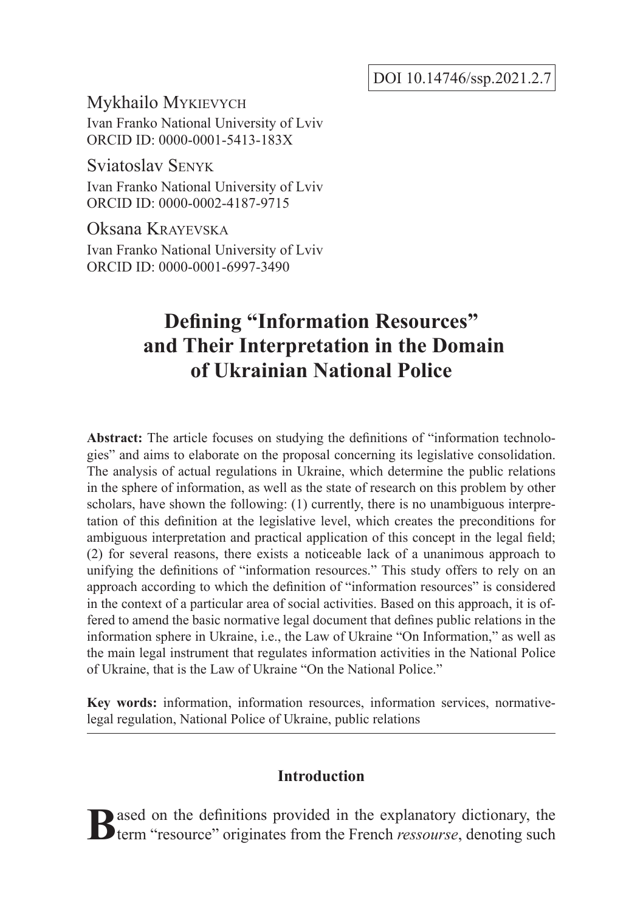DOI 10.14746/ssp.2021.2.7

Mykhailo Mykievych Ivan Franko National University of Lviv ORCID ID: 0000-0001-5413-183X

Sviatoslav Senyk Ivan Franko National University of Lviv ORCID ID: 0000-0002-4187-9715

Oksana Krayevska Ivan Franko National University of Lviv ORCID ID: 0000-0001-6997-3490

# **Defining "Information Resources" and Their Interpretation in the Domain of Ukrainian National Police**

**Abstract:** The article focuses on studying the definitions of "information technologies" and aims to elaborate on the proposal concerning its legislative consolidation. The analysis of actual regulations in Ukraine, which determine the public relations in the sphere of information, as well as the state of research on this problem by other scholars, have shown the following: (1) currently, there is no unambiguous interpretation of this definition at the legislative level, which creates the preconditions for ambiguous interpretation and practical application of this concept in the legal field; (2) for several reasons, there exists a noticeable lack of a unanimous approach to unifying the definitions of "information resources." This study offers to rely on an approach according to which the definition of "information resources" is considered in the context of a particular area of social activities. Based on this approach, it is offered to amend the basic normative legal document that defines public relations in the information sphere in Ukraine, i.e., the Law of Ukraine "On Information," as well as the main legal instrument that regulates information activities in the National Police of Ukraine, that is the Law of Ukraine "On the National Police."

**Key words:** information, information resources, information services, normativelegal regulation, National Police of Ukraine, public relations

## **Introduction**

**B**ased on the definitions provided in the explanatory dictionary, the term "resource" originates from the French *ressourse*, denoting such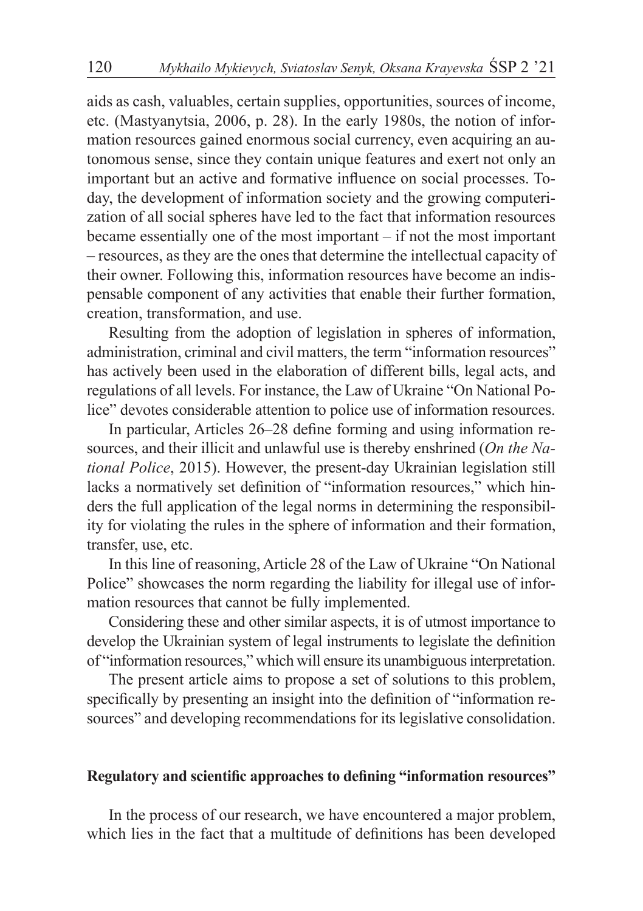aids as cash, valuables, certain supplies, opportunities, sources of income, etc. (Mastyanytsia, 2006, p. 28). In the early 1980s, the notion of information resources gained enormous social currency, even acquiring an autonomous sense, since they contain unique features and exert not only an important but an active and formative influence on social processes. Today, the development of information society and the growing computerization of all social spheres have led to the fact that information resources became essentially one of the most important – if not the most important – resources, as they are the ones that determine the intellectual capacity of their owner. Following this, information resources have become an indispensable component of any activities that enable their further formation, creation, transformation, and use.

Resulting from the adoption of legislation in spheres of information, administration, criminal and civil matters, the term "information resources" has actively been used in the elaboration of different bills, legal acts, and regulations of all levels. For instance, the Law of Ukraine "On National Police" devotes considerable attention to police use of information resources.

In particular, Articles 26–28 define forming and using information resources, and their illicit and unlawful use is thereby enshrined (*On the National Police*, 2015). However, the present-day Ukrainian legislation still lacks a normatively set definition of "information resources," which hinders the full application of the legal norms in determining the responsibility for violating the rules in the sphere of information and their formation, transfer, use, etc.

In this line of reasoning, Article 28 of the Law of Ukraine "On National Police" showcases the norm regarding the liability for illegal use of information resources that cannot be fully implemented.

Considering these and other similar aspects, it is of utmost importance to develop the Ukrainian system of legal instruments to legislate the definition of "information resources," which will ensure its unambiguous interpretation.

The present article aims to propose a set of solutions to this problem, specifically by presenting an insight into the definition of "information resources" and developing recommendations for its legislative consolidation.

## **Regulatory and scientific approaches to defining "information resources"**

In the process of our research, we have encountered a major problem, which lies in the fact that a multitude of definitions has been developed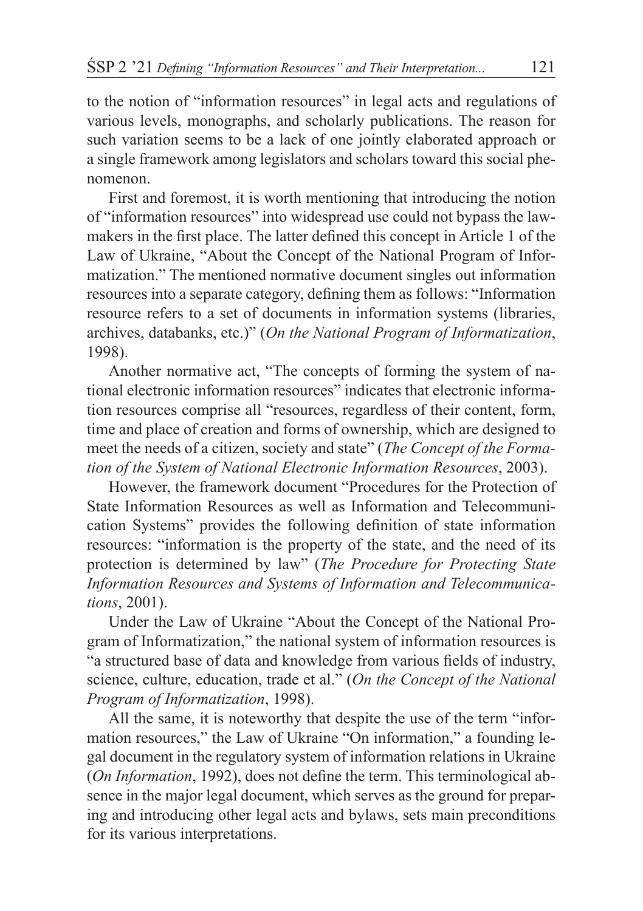to the notion of "information resources" in legal acts and regulations of various levels, monographs, and scholarly publications. The reason for such variation seems to be a lack of one jointly elaborated approach or a single framework among legislators and scholars toward this social phenomenon.

First and foremost, it is worth mentioning that introducing the notion of "information resources" into widespread use could not bypass the lawmakers in the first place. The latter defined this concept in Article 1 of the Law of Ukraine, "About the Concept of the National Program of Informatization." The mentioned normative document singles out information resources into a separate category, defining them as follows: "Information resource refers to a set of documents in information systems (libraries, archives, databanks, etc.)" (*On the National Program of Informatization*, 1998).

Another normative act, "The concepts of forming the system of national electronic information resources" indicates that electronic information resources comprise all "resources, regardless of their content, form, time and place of creation and forms of ownership, which are designed to meet the needs of a citizen, society and state" (*The Concept of the Formation of the System of National Electronic Information Resources*, 2003).

However, the framework document "Procedures for the Protection of State Information Resources as well as Information and Telecommunication Systems" provides the following definition of state information resources: "information is the property of the state, and the need of its protection is determined by law" (*The Procedure for Protecting State Information Resources and Systems of Information and Telecommunications*, 2001).

Under the Law of Ukraine "About the Concept of the National Program of Informatization," the national system of information resources is "a structured base of data and knowledge from various fields of industry, science, culture, education, trade et al." (*On the Concept of the National Program of Informatization*, 1998).

All the same, it is noteworthy that despite the use of the term "information resources," the Law of Ukraine "On information," a founding legal document in the regulatory system of information relations in Ukraine (*On Information*, 1992), does not define the term. This terminological absence in the major legal document, which serves as the ground for preparing and introducing other legal acts and bylaws, sets main preconditions for its various interpretations.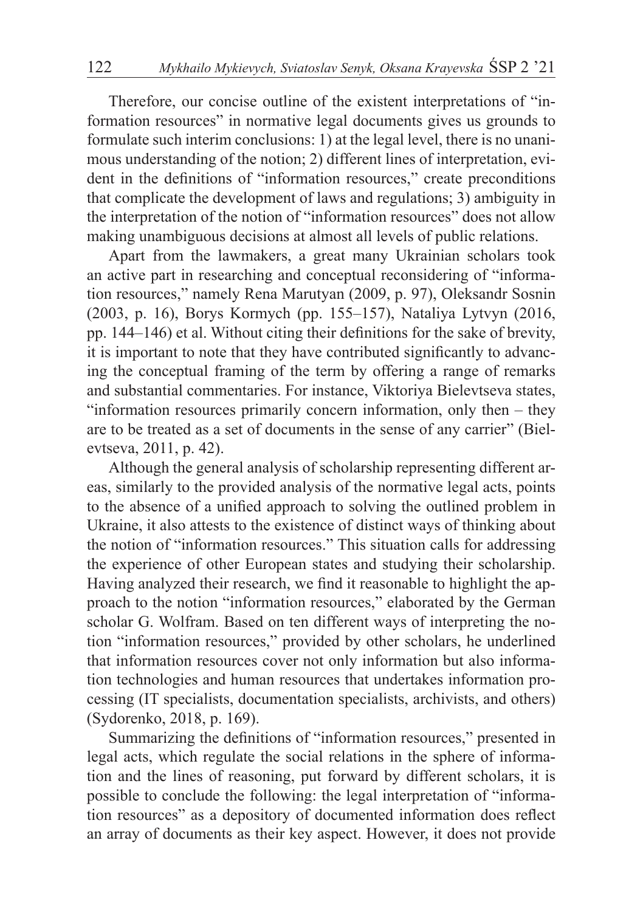Therefore, our concise outline of the existent interpretations of "information resources" in normative legal documents gives us grounds to formulate such interim conclusions: 1) at the legal level, there is no unanimous understanding of the notion; 2) different lines of interpretation, evident in the definitions of "information resources," create preconditions that complicate the development of laws and regulations; 3) ambiguity in the interpretation of the notion of "information resources" does not allow making unambiguous decisions at almost all levels of public relations.

Apart from the lawmakers, a great many Ukrainian scholars took an active part in researching and conceptual reconsidering of "information resources," namely Rena Marutyan (2009, p. 97), Oleksandr Sosnin (2003, p. 16), Borys Kormych (pp. 155–157), Nataliya Lytvyn (2016, pp. 144–146) et al. Without citing their definitions for the sake of brevity, it is important to note that they have contributed significantly to advancing the conceptual framing of the term by offering a range of remarks and substantial commentaries. For instance, Viktoriya Bielevtseva states, "information resources primarily concern information, only then – they are to be treated as a set of documents in the sense of any carrier" (Bielevtseva, 2011, p. 42).

Although the general analysis of scholarship representing different areas, similarly to the provided analysis of the normative legal acts, points to the absence of a unified approach to solving the outlined problem in Ukraine, it also attests to the existence of distinct ways of thinking about the notion of "information resources." This situation calls for addressing the experience of other European states and studying their scholarship. Having analyzed their research, we find it reasonable to highlight the approach to the notion "information resources," elaborated by the German scholar G. Wolfram. Based on ten different ways of interpreting the notion "information resources," provided by other scholars, he underlined that information resources cover not only information but also information technologies and human resources that undertakes information processing (IT specialists, documentation specialists, archivists, and others) (Sydorenko, 2018, p. 169).

Summarizing the definitions of "information resources," presented in legal acts, which regulate the social relations in the sphere of information and the lines of reasoning, put forward by different scholars, it is possible to conclude the following: the legal interpretation of "information resources" as a depository of documented information does reflect an array of documents as their key aspect. However, it does not provide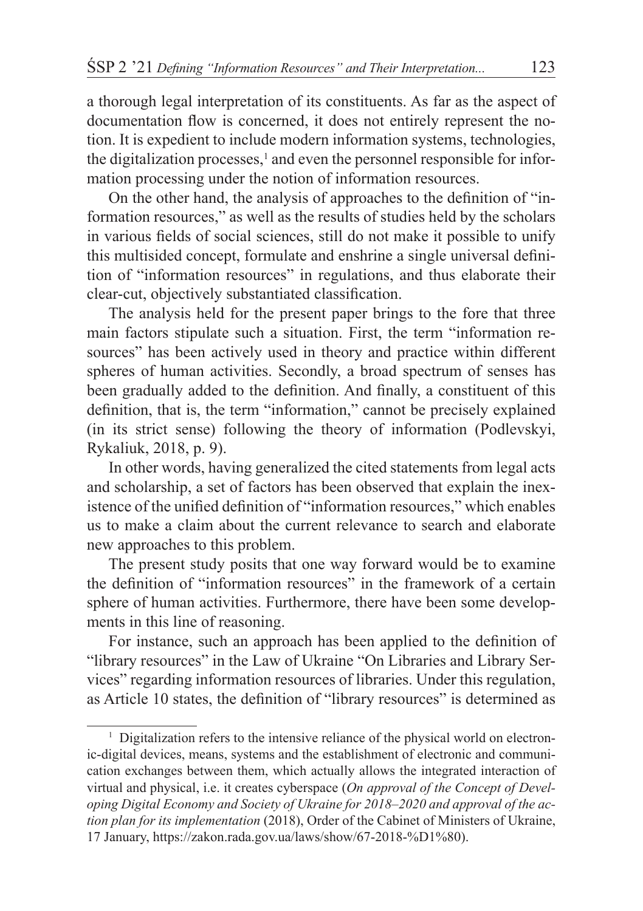a thorough legal interpretation of its constituents. As far as the aspect of documentation flow is concerned, it does not entirely represent the notion. It is expedient to include modern information systems, technologies, the digitalization processes,<sup>1</sup> and even the personnel responsible for information processing under the notion of information resources.

On the other hand, the analysis of approaches to the definition of "information resources," as well as the results of studies held by the scholars in various fields of social sciences, still do not make it possible to unify this multisided concept, formulate and enshrine a single universal definition of "information resources" in regulations, and thus elaborate their clear-cut, objectively substantiated classification.

The analysis held for the present paper brings to the fore that three main factors stipulate such a situation. First, the term "information resources" has been actively used in theory and practice within different spheres of human activities. Secondly, a broad spectrum of senses has been gradually added to the definition. And finally, a constituent of this definition, that is, the term "information," cannot be precisely explained (in its strict sense) following the theory of information (Podlevskyi, Rykaliuk, 2018, p. 9).

In other words, having generalized the cited statements from legal acts and scholarship, a set of factors has been observed that explain the inexistence of the unified definition of "information resources," which enables us to make a claim about the current relevance to search and elaborate new approaches to this problem.

The present study posits that one way forward would be to examine the definition of "information resources" in the framework of a certain sphere of human activities. Furthermore, there have been some developments in this line of reasoning.

For instance, such an approach has been applied to the definition of "library resources" in the Law of Ukraine "On Libraries and Library Services" regarding information resources of libraries. Under this regulation, as Article 10 states, the definition of "library resources" is determined as

<sup>&</sup>lt;sup>1</sup> Digitalization refers to the intensive reliance of the physical world on electronic-digital devices, means, systems and the establishment of electronic and communication exchanges between them, which actually allows the integrated interaction of virtual and physical, i.e. it creates cyberspace (*On approval of the Concept of Developing Digital Economy and Society of Ukraine for 2018–2020 and approval of the action plan for its implementation* (2018), Order of the Cabinet of Ministers of Ukraine, 17 January, https://zakon.rada.gov.ua/laws/show/67-2018-%D1%80).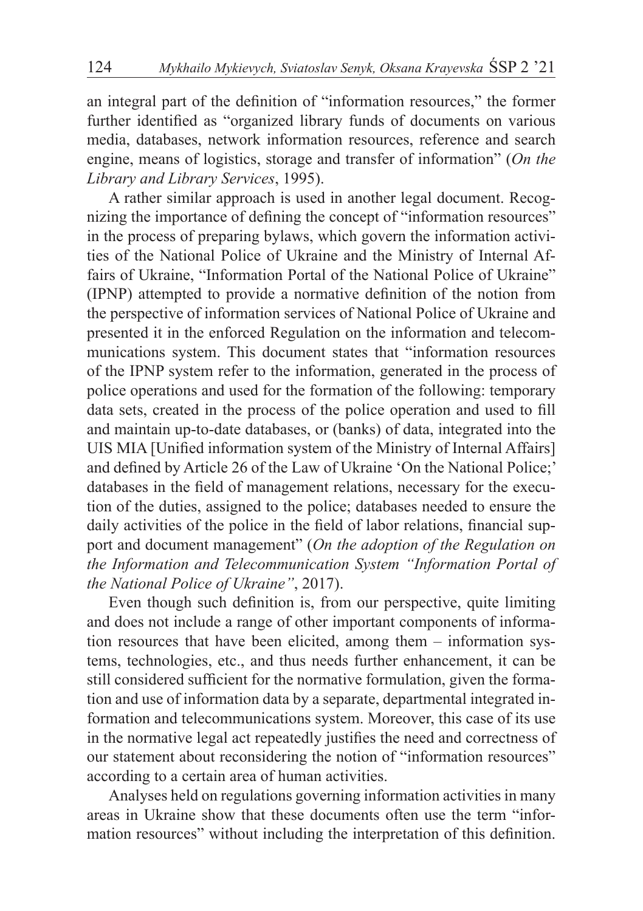an integral part of the definition of "information resources," the former further identified as "organized library funds of documents on various media, databases, network information resources, reference and search engine, means of logistics, storage and transfer of information" (*On the Library and Library Services*, 1995).

A rather similar approach is used in another legal document. Recognizing the importance of defining the concept of "information resources" in the process of preparing bylaws, which govern the information activities of the National Police of Ukraine and the Ministry of Internal Affairs of Ukraine, "Information Portal of the National Police of Ukraine" (IPNP) attempted to provide a normative definition of the notion from the perspective of information services of National Police of Ukraine and presented it in the enforced Regulation on the information and telecommunications system. This document states that "information resources of the IPNP system refer to the information, generated in the process of police operations and used for the formation of the following: temporary data sets, created in the process of the police operation and used to fill and maintain up-to-date databases, or (banks) of data, integrated into the UIS MIA [Unified information system of the Ministry of Internal Affairs] and defined by Article 26 of the Law of Ukraine 'On the National Police;' databases in the field of management relations, necessary for the execution of the duties, assigned to the police; databases needed to ensure the daily activities of the police in the field of labor relations, financial support and document management" (*On the adoption of the Regulation on the Information and Telecommunication System "Information Portal of the National Police of Ukraine"*, 2017).

Even though such definition is, from our perspective, quite limiting and does not include a range of other important components of information resources that have been elicited, among them – information systems, technologies, etc., and thus needs further enhancement, it can be still considered sufficient for the normative formulation, given the formation and use of information data by a separate, departmental integrated information and telecommunications system. Moreover, this case of its use in the normative legal act repeatedly justifies the need and correctness of our statement about reconsidering the notion of "information resources" according to a certain area of human activities.

Analyses held on regulations governing information activities in many areas in Ukraine show that these documents often use the term "information resources" without including the interpretation of this definition.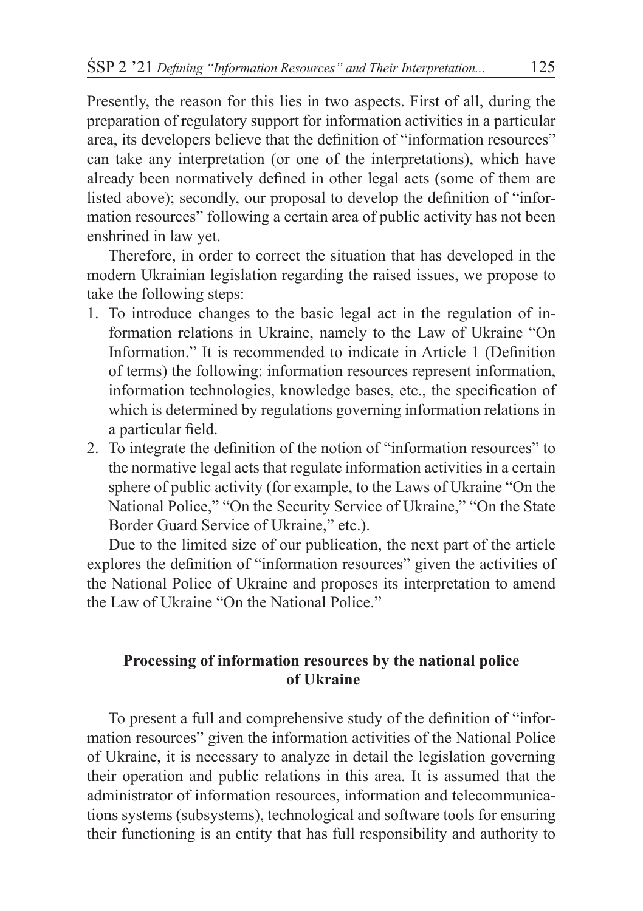Presently, the reason for this lies in two aspects. First of all, during the preparation of regulatory support for information activities in a particular area, its developers believe that the definition of "information resources" can take any interpretation (or one of the interpretations), which have already been normatively defined in other legal acts (some of them are listed above); secondly, our proposal to develop the definition of "information resources" following a certain area of public activity has not been enshrined in law yet.

Therefore, in order to correct the situation that has developed in the modern Ukrainian legislation regarding the raised issues, we propose to take the following steps:

- 1. To introduce changes to the basic legal act in the regulation of information relations in Ukraine, namely to the Law of Ukraine "On Information." It is recommended to indicate in Article 1 (Definition of terms) the following: information resources represent information, information technologies, knowledge bases, etc., the specification of which is determined by regulations governing information relations in a particular field.
- 2. To integrate the definition of the notion of "information resources" to the normative legal acts that regulate information activities in a certain sphere of public activity (for example, to the Laws of Ukraine "On the National Police," "On the Security Service of Ukraine," "On the State Border Guard Service of Ukraine," etc.).

Due to the limited size of our publication, the next part of the article explores the definition of "information resources" given the activities of the National Police of Ukraine and proposes its interpretation to amend the Law of Ukraine "On the National Police."

# **Processing of information resources by the national police of Ukraine**

To present a full and comprehensive study of the definition of "information resources" given the information activities of the National Police of Ukraine, it is necessary to analyze in detail the legislation governing their operation and public relations in this area. It is assumed that the administrator of information resources, information and telecommunications systems (subsystems), technological and software tools for ensuring their functioning is an entity that has full responsibility and authority to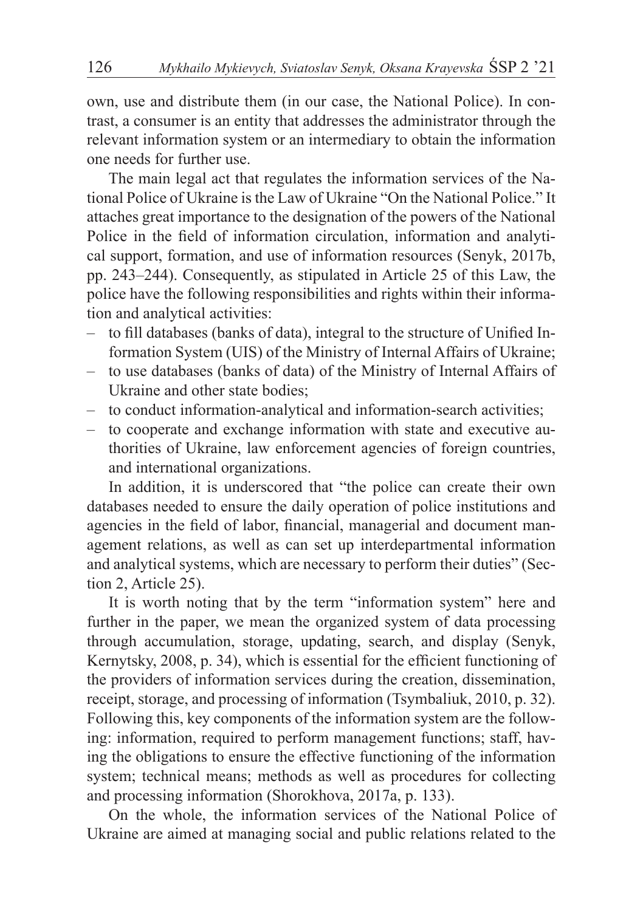own, use and distribute them (in our case, the National Police). In contrast, a consumer is an entity that addresses the administrator through the relevant information system or an intermediary to obtain the information one needs for further use.

The main legal act that regulates the information services of the National Police of Ukraine is the Law of Ukraine "On the National Police." It attaches great importance to the designation of the powers of the National Police in the field of information circulation, information and analytical support, formation, and use of information resources (Senyk, 2017b, pp. 243–244). Consequently, as stipulated in Article 25 of this Law, the police have the following responsibilities and rights within their information and analytical activities:

- to fill databases (banks of data), integral to the structure of Unified Information System (UIS) of the Ministry of Internal Affairs of Ukraine;
- to use databases (banks of data) of the Ministry of Internal Affairs of Ukraine and other state bodies;
- to conduct information-analytical and information-search activities;
- to cooperate and exchange information with state and executive authorities of Ukraine, law enforcement agencies of foreign countries, and international organizations.

In addition, it is underscored that "the police can create their own databases needed to ensure the daily operation of police institutions and agencies in the field of labor, financial, managerial and document management relations, as well as can set up interdepartmental information and analytical systems, which are necessary to perform their duties" (Section 2, Article 25).

It is worth noting that by the term "information system" here and further in the paper, we mean the organized system of data processing through accumulation, storage, updating, search, and display (Senyk, Kernytsky, 2008, p. 34), which is essential for the efficient functioning of the providers of information services during the creation, dissemination, receipt, storage, and processing of information (Tsymbaliuk, 2010, p. 32). Following this, key components of the information system are the following: information, required to perform management functions; staff, having the obligations to ensure the effective functioning of the information system; technical means; methods as well as procedures for collecting and processing information (Shorokhova, 2017a, p. 133).

On the whole, the information services of the National Police of Ukraine are aimed at managing social and public relations related to the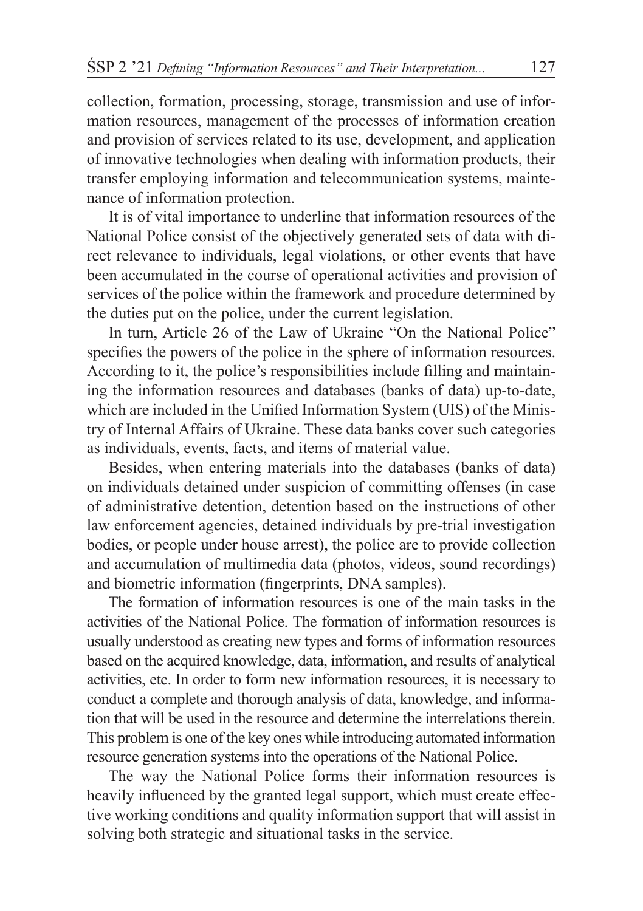collection, formation, processing, storage, transmission and use of information resources, management of the processes of information creation and provision of services related to its use, development, and application of innovative technologies when dealing with information products, their transfer employing information and telecommunication systems, maintenance of information protection.

It is of vital importance to underline that information resources of the National Police consist of the objectively generated sets of data with direct relevance to individuals, legal violations, or other events that have been accumulated in the course of operational activities and provision of services of the police within the framework and procedure determined by the duties put on the police, under the current legislation.

In turn, Article 26 of the Law of Ukraine "On the National Police" specifies the powers of the police in the sphere of information resources. According to it, the police's responsibilities include filling and maintaining the information resources and databases (banks of data) up-to-date, which are included in the Unified Information System (UIS) of the Ministry of Internal Affairs of Ukraine. These data banks cover such categories as individuals, events, facts, and items of material value.

Besides, when entering materials into the databases (banks of data) on individuals detained under suspicion of committing offenses (in case of administrative detention, detention based on the instructions of other law enforcement agencies, detained individuals by pre-trial investigation bodies, or people under house arrest), the police are to provide collection and accumulation of multimedia data (photos, videos, sound recordings) and biometric information (fingerprints, DNA samples).

The formation of information resources is one of the main tasks in the activities of the National Police. The formation of information resources is usually understood as creating new types and forms of information resources based on the acquired knowledge, data, information, and results of analytical activities, etc. In order to form new information resources, it is necessary to conduct a complete and thorough analysis of data, knowledge, and information that will be used in the resource and determine the interrelations therein. This problem is one of the key ones while introducing automated information resource generation systems into the operations of the National Police.

The way the National Police forms their information resources is heavily influenced by the granted legal support, which must create effective working conditions and quality information support that will assist in solving both strategic and situational tasks in the service.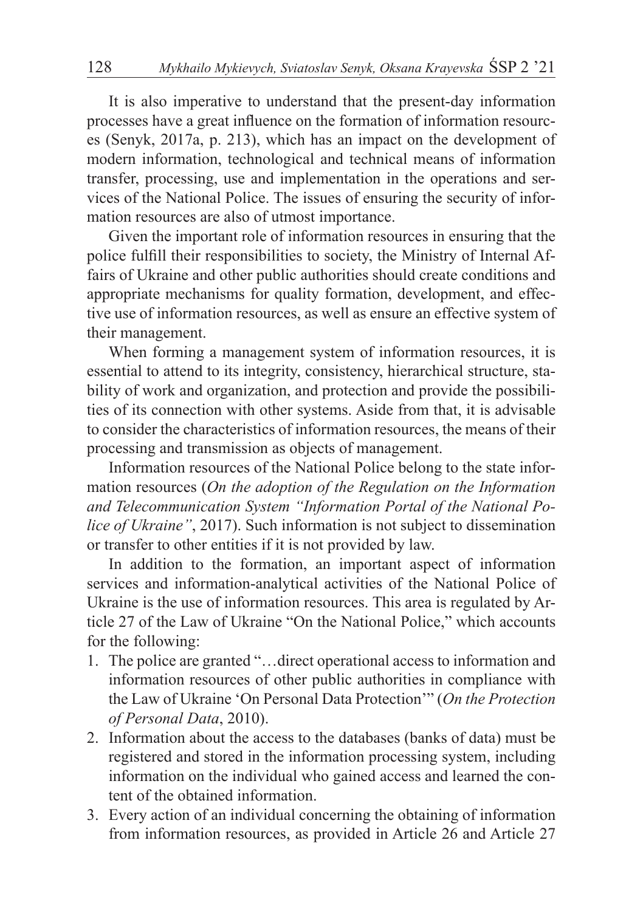It is also imperative to understand that the present-day information processes have a great influence on the formation of information resources (Senyk, 2017a, p. 213), which has an impact on the development of modern information, technological and technical means of information transfer, processing, use and implementation in the operations and services of the National Police. The issues of ensuring the security of information resources are also of utmost importance.

Given the important role of information resources in ensuring that the police fulfill their responsibilities to society, the Ministry of Internal Affairs of Ukraine and other public authorities should create conditions and appropriate mechanisms for quality formation, development, and effective use of information resources, as well as ensure an effective system of their management.

When forming a management system of information resources, it is essential to attend to its integrity, consistency, hierarchical structure, stability of work and organization, and protection and provide the possibilities of its connection with other systems. Aside from that, it is advisable to consider the characteristics of information resources, the means of their processing and transmission as objects of management.

Information resources of the National Police belong to the state information resources (*On the adoption of the Regulation on the Information and Telecommunication System "Information Portal of the National Police of Ukraine"*, 2017). Such information is not subject to dissemination or transfer to other entities if it is not provided by law.

In addition to the formation, an important aspect of information services and information-analytical activities of the National Police of Ukraine is the use of information resources. This area is regulated by Article 27 of the Law of Ukraine "On the National Police," which accounts for the following:

- 1. The police are granted "…direct operational access to information and information resources of other public authorities in compliance with the Law of Ukraine 'On Personal Data Protection'" (*On the Protection of Personal Data*, 2010).
- 2. Information about the access to the databases (banks of data) must be registered and stored in the information processing system, including information on the individual who gained access and learned the content of the obtained information.
- 3. Every action of an individual concerning the obtaining of information from information resources, as provided in Article 26 and Article 27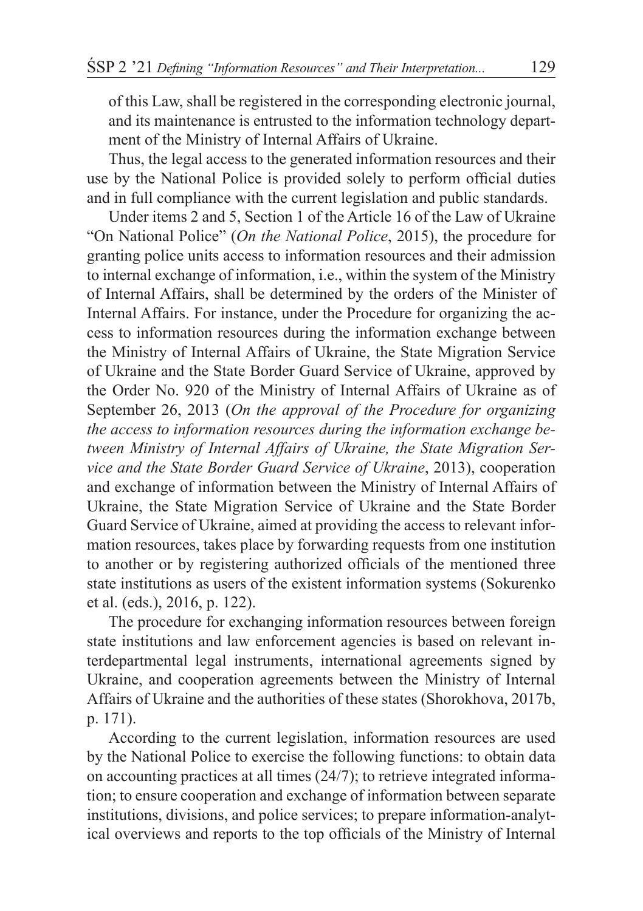of this Law, shall be registered in the corresponding electronic journal, and its maintenance is entrusted to the information technology department of the Ministry of Internal Affairs of Ukraine.

Thus, the legal access to the generated information resources and their use by the National Police is provided solely to perform official duties and in full compliance with the current legislation and public standards.

Under items 2 and 5, Section 1 of the Article 16 of the Law of Ukraine "On National Police" (*On the National Police*, 2015), the procedure for granting police units access to information resources and their admission to internal exchange of information, i.e., within the system of the Ministry of Internal Affairs, shall be determined by the orders of the Minister of Internal Affairs. For instance, under the Procedure for organizing the access to information resources during the information exchange between the Ministry of Internal Affairs of Ukraine, the State Migration Service of Ukraine and the State Border Guard Service of Ukraine, approved by the Order No. 920 of the Ministry of Internal Affairs of Ukraine as of September 26, 2013 (*On the approval of the Procedure for organizing the access to information resources during the information exchange between Ministry of Internal Affairs of Ukraine, the State Migration Service and the State Border Guard Service of Ukraine*, 2013), cooperation and exchange of information between the Ministry of Internal Affairs of Ukraine, the State Migration Service of Ukraine and the State Border Guard Service of Ukraine, aimed at providing the access to relevant information resources, takes place by forwarding requests from one institution to another or by registering authorized officials of the mentioned three state institutions as users of the existent information systems (Sokurenko et al. (eds.), 2016, p. 122).

The procedure for exchanging information resources between foreign state institutions and law enforcement agencies is based on relevant interdepartmental legal instruments, international agreements signed by Ukraine, and cooperation agreements between the Ministry of Internal Affairs of Ukraine and the authorities of these states (Shorokhova, 2017b, p. 171).

According to the current legislation, information resources are used by the National Police to exercise the following functions: to obtain data on accounting practices at all times (24/7); to retrieve integrated information; to ensure cooperation and exchange of information between separate institutions, divisions, and police services; to prepare information-analytical overviews and reports to the top officials of the Ministry of Internal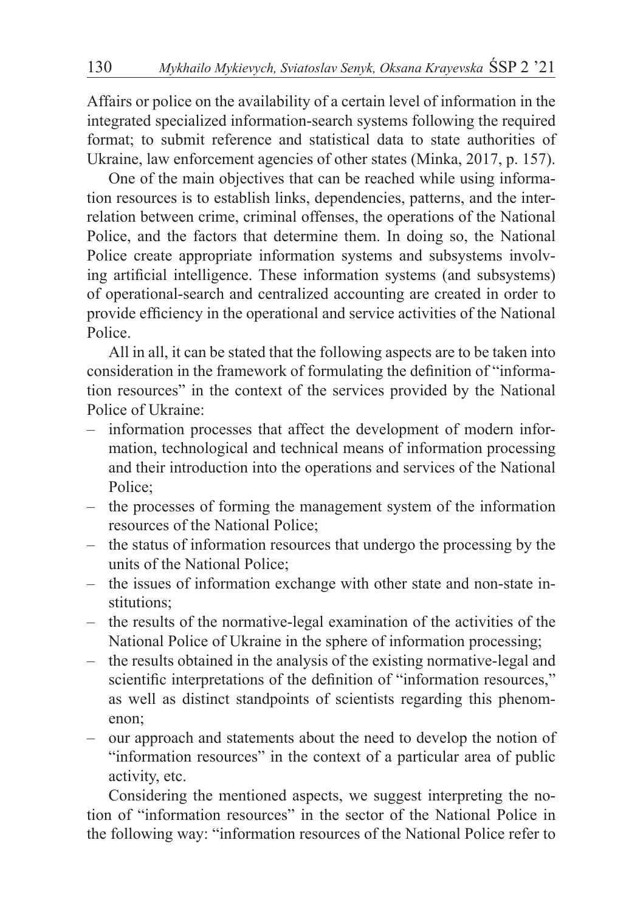Affairs or police on the availability of a certain level of information in the integrated specialized information-search systems following the required format; to submit reference and statistical data to state authorities of Ukraine, law enforcement agencies of other states (Minka, 2017, p. 157).

One of the main objectives that can be reached while using information resources is to establish links, dependencies, patterns, and the interrelation between crime, criminal offenses, the operations of the National Police, and the factors that determine them. In doing so, the National Police create appropriate information systems and subsystems involving artificial intelligence. These information systems (and subsystems) of operational-search and centralized accounting are created in order to provide efficiency in the operational and service activities of the National Police.

All in all, it can be stated that the following aspects are to be taken into consideration in the framework of formulating the definition of "information resources" in the context of the services provided by the National Police of Ukraine:

- information processes that affect the development of modern information, technological and technical means of information processing and their introduction into the operations and services of the National Police;
- the processes of forming the management system of the information resources of the National Police;
- the status of information resources that undergo the processing by the units of the National Police;
- the issues of information exchange with other state and non-state institutions;
- the results of the normative-legal examination of the activities of the National Police of Ukraine in the sphere of information processing;
- the results obtained in the analysis of the existing normative-legal and scientific interpretations of the definition of "information resources," as well as distinct standpoints of scientists regarding this phenomenon;
- our approach and statements about the need to develop the notion of "information resources" in the context of a particular area of public activity, etc.

Considering the mentioned aspects, we suggest interpreting the notion of "information resources" in the sector of the National Police in the following way: "information resources of the National Police refer to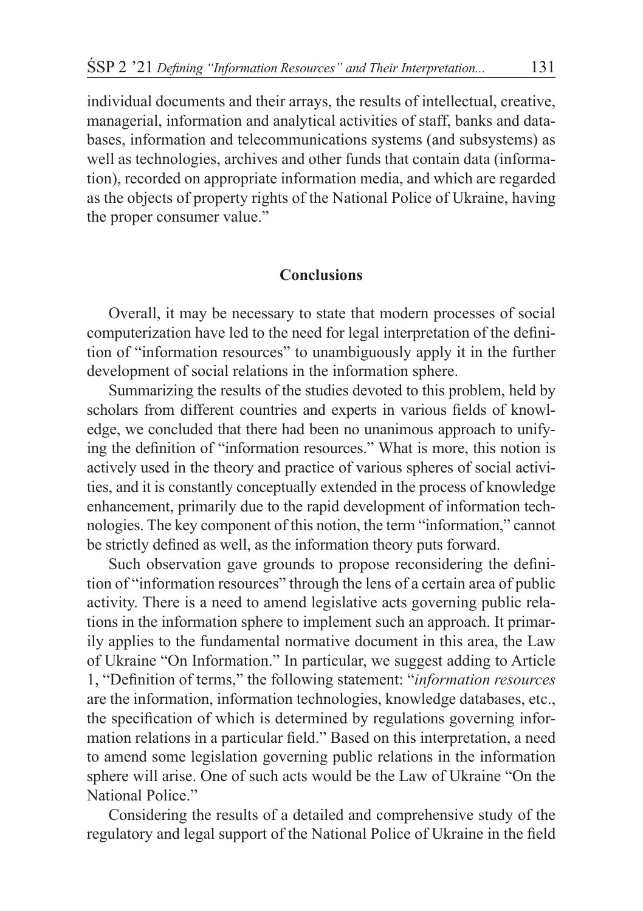individual documents and their arrays, the results of intellectual, creative, managerial, information and analytical activities of staff, banks and databases, information and telecommunications systems (and subsystems) as well as technologies, archives and other funds that contain data (information), recorded on appropriate information media, and which are regarded as the objects of property rights of the National Police of Ukraine, having the proper consumer value."

## **Conclusions**

Overall, it may be necessary to state that modern processes of social computerization have led to the need for legal interpretation of the definition of "information resources" to unambiguously apply it in the further development of social relations in the information sphere.

Summarizing the results of the studies devoted to this problem, held by scholars from different countries and experts in various fields of knowledge, we concluded that there had been no unanimous approach to unifying the definition of "information resources." What is more, this notion is actively used in the theory and practice of various spheres of social activities, and it is constantly conceptually extended in the process of knowledge enhancement, primarily due to the rapid development of information technologies. The key component of this notion, the term "information," cannot be strictly defined as well, as the information theory puts forward.

Such observation gave grounds to propose reconsidering the definition of "information resources" through the lens of a certain area of public activity. There is a need to amend legislative acts governing public relations in the information sphere to implement such an approach. It primarily applies to the fundamental normative document in this area, the Law of Ukraine "On Information." In particular, we suggest adding to Article 1, "Definition of terms," the following statement: "*information resources* are the information, information technologies, knowledge databases, etc., the specification of which is determined by regulations governing information relations in a particular field." Based on this interpretation, a need to amend some legislation governing public relations in the information sphere will arise. One of such acts would be the Law of Ukraine "On the National Police."

Considering the results of a detailed and comprehensive study of the regulatory and legal support of the National Police of Ukraine in the field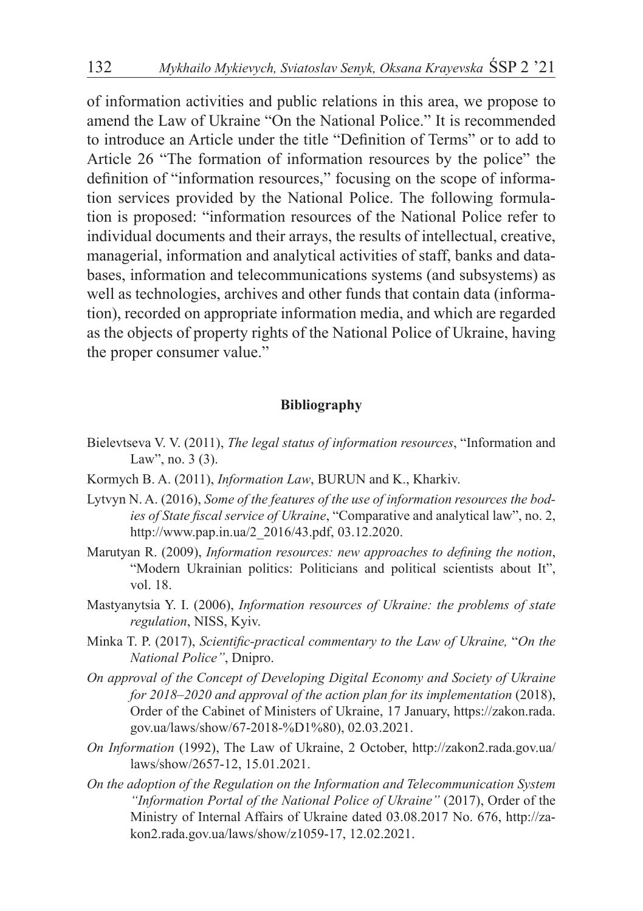of information activities and public relations in this area, we propose to amend the Law of Ukraine "On the National Police." It is recommended to introduce an Article under the title "Definition of Terms" or to add to Article 26 "The formation of information resources by the police" the definition of "information resources," focusing on the scope of information services provided by the National Police. The following formulation is proposed: "information resources of the National Police refer to individual documents and their arrays, the results of intellectual, creative, managerial, information and analytical activities of staff, banks and databases, information and telecommunications systems (and subsystems) as well as technologies, archives and other funds that contain data (information), recorded on appropriate information media, and which are regarded as the objects of property rights of the National Police of Ukraine, having the proper consumer value."

#### **Bibliography**

- Bielevtseva V. V. (2011), *The legal status of information resources*, "Information and Law", no. 3 (3).
- Kormych B. A. (2011), *Information Law*, BURUN and K., Kharkiv.
- Lytvyn N. A. (2016), *Some of the features of the use of information resources the bodies of State fiscal service of Ukraine*, "Comparative and analytical law", no. 2, http://www.pap.in.ua/2\_2016/43.pdf, 03.12.2020.
- Marutyan R. (2009), *Information resources: new approaches to defining the notion*, "Modern Ukrainian politics: Politicians and political scientists about It", vol. 18.
- Mastyanytsia Y. I. (2006), *Information resources of Ukraine: the problems of state regulation*, NISS, Kyiv.
- Minka T. P. (2017), *Scientific-practical commentary to the Law of Ukraine,* "*On the National Police"*, Dnipro.
- *On approval of the Concept of Developing Digital Economy and Society of Ukraine for 2018–2020 and approval of the action plan for its implementation* (2018), Order of the Cabinet of Ministers of Ukraine, 17 January, https://zakon.rada. gov.ua/laws/show/67-2018-%D1%80), 02.03.2021.
- *On Information* (1992), The Law of Ukraine, 2 October, http://zakon2.rada.gov.ua/ laws/show/2657-12, 15.01.2021.
- *On the adoption of the Regulation on the Information and Telecommunication System "Information Portal of the National Police of Ukraine"* (2017), Order of the Ministry of Internal Affairs of Ukraine dated 03.08.2017 No. 676, http://zakon2.rada.gov.ua/laws/show/z1059-17, 12.02.2021.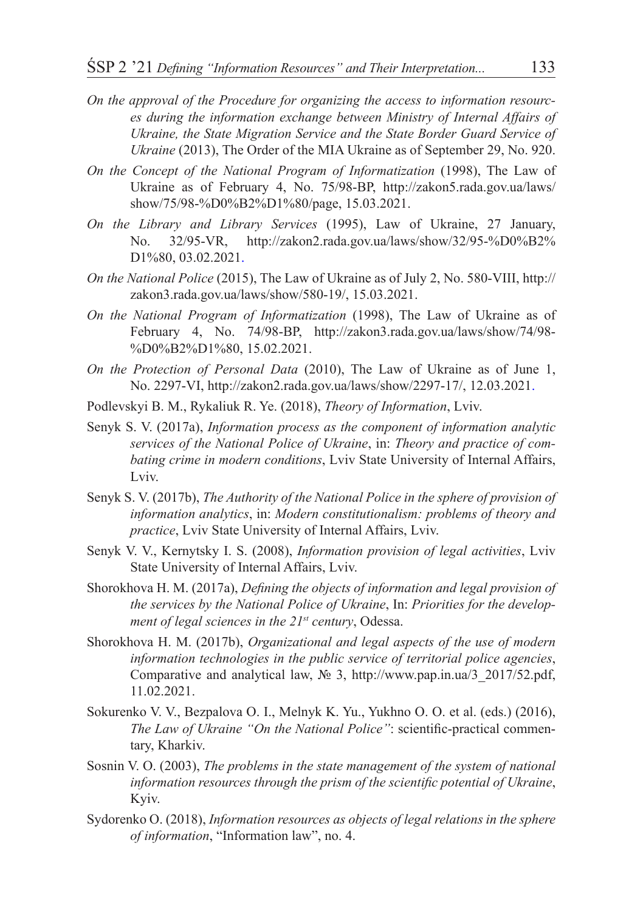- *On the approval of the Procedure for organizing the access to information resources during the information exchange between Ministry of Internal Affairs of Ukraine, the State Migration Service and the State Border Guard Service of Ukraine* (2013), The Order of the MIA Ukraine as of September 29, No. 920.
- *On the Concept of the National Program of Informatization* (1998), The Law of Ukraine as of February 4, No. 75/98-BP, http://zakon5.rada.gov.ua/laws/ show/75/98-%D0%B2%D1%80/page, 15.03.2021.
- *On the Library and Library Services* (1995), Law of Ukraine, 27 January, No. 32/95-VR, http://zakon2.rada.gov.ua/laws/show/32/95-%D0%B2% D<sub>1%80</sub> 03.02.2021
- *On the National Police* (2015), The Law of Ukraine as of July 2, No. 580-VIII, http:// zakon3.rada.gov.ua/laws/show/580-19/, 15.03.2021.
- *On the National Program of Informatization* (1998), The Law of Ukraine as of February 4, No. 74/98-BP, http://zakon3.rada.gov.ua/laws/show/74/98- %D0%B2%D1%80, 15.02.2021.
- *On the Protection of Personal Data* (2010), The Law of Ukraine as of June 1, No. 2297-VI, http://zakon2.rada.gov.ua/laws/show/2297-17/, 12.03.2021.
- Podlevskyi B. M., Rykaliuk R. Ye. (2018), *Theory of Information*, Lviv.
- Senyk S. V. (2017a), *Information process as the component of information analytic services of the National Police of Ukraine*, in: *Theory and practice of combating crime in modern conditions*, Lviv State University of Internal Affairs, Lviv.
- Senyk S. V. (2017b), *The Authority of the National Police in the sphere of provision of information analytics*, in: *Modern constitutionalism: problems of theory and practice*, Lviv State University of Internal Affairs, Lviv.
- Senyk V. V., Kernytsky I. S. (2008), *Information provision of legal activities*, Lviv State University of Internal Affairs, Lviv.
- Shorokhova H. M. (2017a), *Defining the objects of information and legal provision of the services by the National Police of Ukraine*, In: *Priorities for the development of legal sciences in the 21st century*, Odessa.
- Shorokhova H. M. (2017b), *Organizational and legal aspects of the use of modern information technologies in the public service of territorial police agencies*, Comparative and analytical law, № 3, http://www.pap.in.ua/3\_2017/52.pdf, 11.02.2021.
- Sokurenko V. V., Bezpalova O. I., Melnyk K. Yu., Yukhno O. O. et al. (eds.) (2016), *The Law of Ukraine "On the National Police"*: scientific-practical commentary, Kharkiv.
- Sosnin V. O. (2003), *The problems in the state management of the system of national information resources through the prism of the scientific potential of Ukraine*, Kyiv.
- Sydorenko O. (2018), *Information resources as objects of legal relations in the sphere of information*, "Information law", no. 4.